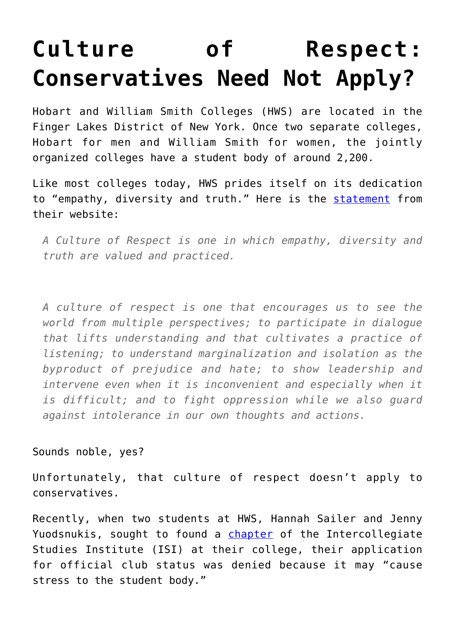## **[Culture of Respect:](https://intellectualtakeout.org/2019/11/culture-of-respect-conservatives-need-not-apply/) [Conservatives Need Not Apply?](https://intellectualtakeout.org/2019/11/culture-of-respect-conservatives-need-not-apply/)**

Hobart and William Smith Colleges (HWS) are located in the Finger Lakes District of New York. Once two separate colleges, Hobart for men and William Smith for women, the jointly organized colleges have a student body of around 2,200.

Like most colleges today, HWS prides itself on its dedication to "empathy, diversity and truth." Here is the [statement](https://www.hws.edu/about/respect/) from their website:

*A Culture of Respect is one in which empathy, diversity and truth are valued and practiced.*

*A culture of respect is one that encourages us to see the world from multiple perspectives; to participate in dialogue that lifts understanding and that cultivates a practice of listening; to understand marginalization and isolation as the byproduct of prejudice and hate; to show leadership and intervene even when it is inconvenient and especially when it is difficult; and to fight oppression while we also guard against intolerance in our own thoughts and actions.*

## Sounds noble, yes?

Unfortunately, that culture of respect doesn't apply to conservatives.

Recently, when two students at HWS, Hannah Sailer and Jenny Yuodsnukis, sought to found a [chapter](https://www.thecollegefix.com/intellectual-conservatism-group-denied-may-cause-stress-to-the-student-body/) of the Intercollegiate Studies Institute (ISI) at their college, their application for official club status was denied because it may "cause stress to the student body."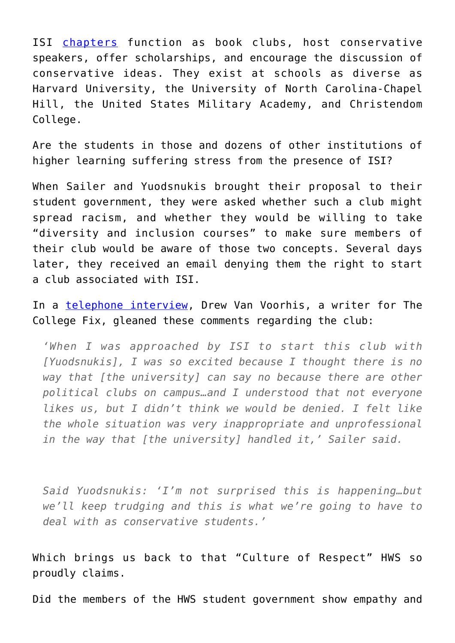ISI [chapters](https://isi.org/campus-directory/) function as book clubs, host conservative speakers, offer scholarships, and encourage the discussion of conservative ideas. They exist at schools as diverse as Harvard University, the University of North Carolina-Chapel Hill, the United States Military Academy, and Christendom College.

Are the students in those and dozens of other institutions of higher learning suffering stress from the presence of ISI?

When Sailer and Yuodsnukis brought their proposal to their student government, they were asked whether such a club might spread racism, and whether they would be willing to take "diversity and inclusion courses" to make sure members of their club would be aware of those two concepts. Several days later, they received an email denying them the right to start a club associated with ISI.

In a [telephone interview](https://www.thecollegefix.com/intellectual-conservatism-group-denied-may-cause-stress-to-the-student-body/), Drew Van Voorhis, a writer for The College Fix, gleaned these comments regarding the club:

*'When I was approached by ISI to start this club with [Yuodsnukis], I was so excited because I thought there is no way that [the university] can say no because there are other political clubs on campus…and I understood that not everyone likes us, but I didn't think we would be denied. I felt like the whole situation was very inappropriate and unprofessional in the way that [the university] handled it,' Sailer said.*

*Said Yuodsnukis: 'I'm not surprised this is happening…but we'll keep trudging and this is what we're going to have to deal with as conservative students.'*

Which brings us back to that "Culture of Respect" HWS so proudly claims.

Did the members of the HWS student government show empathy and